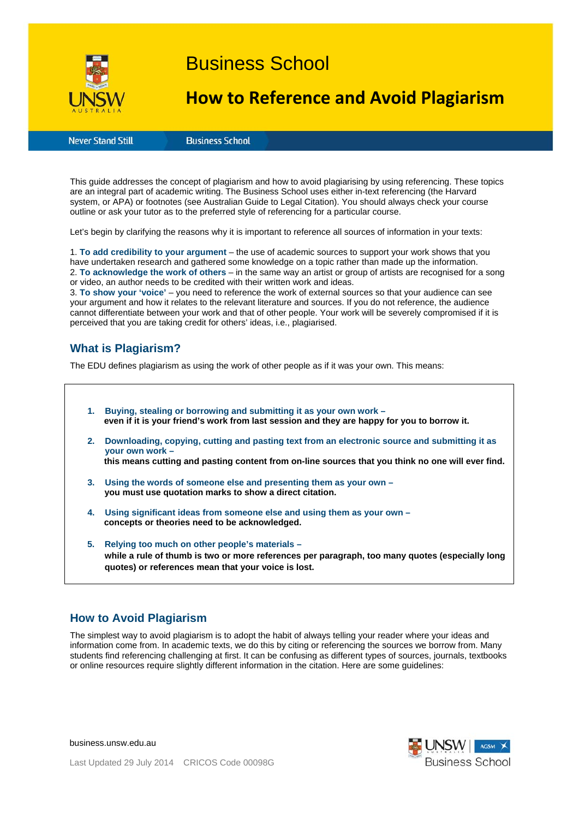

# Business School

## **How to Reference and Avoid Plagiarism**

**Never Stand Still** 

**Business School** 

This guide addresses the concept of plagiarism and how to avoid plagiarising by using referencing. These topics are an integral part of academic writing. The Business School uses either in-text referencing (the Harvard system, or APA) or footnotes (see Australian Guide to Legal Citation). You should always check your course outline or ask your tutor as to the preferred style of referencing for a particular course.

Let's begin by clarifying the reasons why it is important to reference all sources of information in your texts:

1. **To add credibility to your argument** – the use of academic sources to support your work shows that you have undertaken research and gathered some knowledge on a topic rather than made up the information. 2. **To acknowledge the work of others** – in the same way an artist or group of artists are recognised for a song or video, an author needs to be credited with their written work and ideas.

3. **To show your 'voice'** – you need to reference the work of external sources so that your audience can see your argument and how it relates to the relevant literature and sources. If you do not reference, the audience cannot differentiate between your work and that of other people. Your work will be severely compromised if it is perceived that you are taking credit for others' ideas, i.e., plagiarised.

## **What is Plagiarism?**

The EDU defines plagiarism as using the work of other people as if it was your own. This means:

**1. Buying, stealing or borrowing and submitting it as your own work – even if it is your friend's work from last session and they are happy for you to borrow it. 2. Downloading, copying, cutting and pasting text from an electronic source and submitting it as your own work – this means cutting and pasting content from on-line sources that you think no one will ever find. 3. Using the words of someone else and presenting them as your own – you must use quotation marks to show a direct citation. 4. Using significant ideas from someone else and using them as your own – concepts or theories need to be acknowledged. 5. Relying too much on other people's materials – while a rule of thumb is two or more references per paragraph, too many quotes (especially long quotes) or references mean that your voice is lost.** 

## **How to Avoid Plagiarism**

The simplest way to avoid plagiarism is to adopt the habit of always telling your reader where your ideas and information come from. In academic texts, we do this by citing or referencing the sources we borrow from. Many students find referencing challenging at first. It can be confusing as different types of sources, journals, textbooks or online resources require slightly different information in the citation. Here are some guidelines:

**Business School** 

business.unsw.edu.au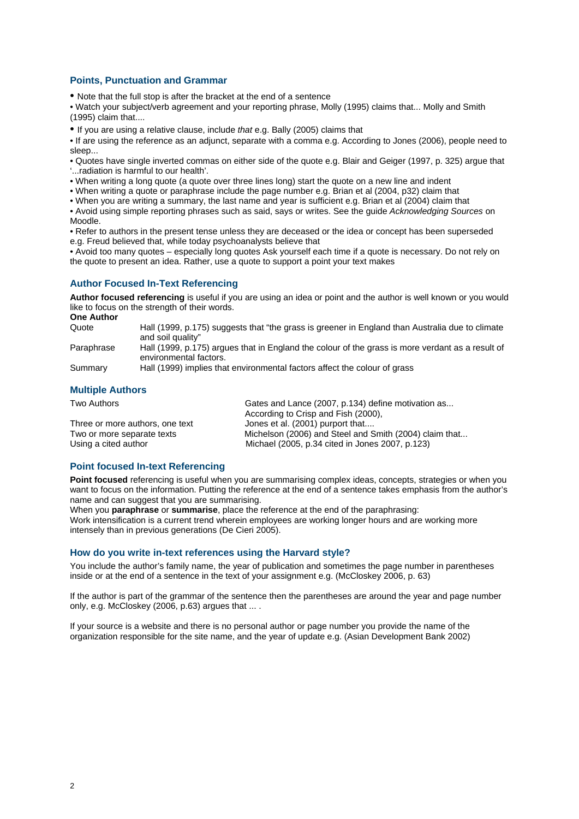#### **Points, Punctuation and Grammar**

• Note that the full stop is after the bracket at the end of a sentence

• Watch your subject/verb agreement and your reporting phrase, Molly (1995) claims that... Molly and Smith (1995) claim that....

• If you are using a relative clause, include *that* e.g. Bally (2005) claims that

• If are using the reference as an adjunct, separate with a comma e.g. According to Jones (2006), people need to sleep...

• Quotes have single inverted commas on either side of the quote e.g. Blair and Geiger (1997, p. 325) argue that '...radiation is harmful to our health'.

• When writing a long quote (a quote over three lines long) start the quote on a new line and indent

• When writing a quote or paraphrase include the page number e.g. Brian et al (2004, p32) claim that

• When you are writing a summary, the last name and year is sufficient e.g. Brian et al (2004) claim that

• Avoid using simple reporting phrases such as said, says or writes. See the guide *Acknowledging Sources* on Moodle.

• Refer to authors in the present tense unless they are deceased or the idea or concept has been superseded e.g. Freud believed that, while today psychoanalysts believe that

• Avoid too many quotes – especially long quotes Ask yourself each time if a quote is necessary. Do not rely on the quote to present an idea. Rather, use a quote to support a point your text makes

#### **Author Focused In-Text Referencing**

**Author focused referencing** is useful if you are using an idea or point and the author is well known or you would like to focus on the strength of their words.

**One Author** Quote Hall (1999, p.175) suggests that "the grass is greener in England than Australia due to climate and soil quality" Paraphrase Hall (1999, p.175) argues that in England the colour of the grass is more verdant as a result of environmental factors. Summary Hall (1999) implies that environmental factors affect the colour of grass

#### **Multiple Authors**

| Two Authors                     | Gates and Lance (2007, p.134) define motivation as     |
|---------------------------------|--------------------------------------------------------|
|                                 | According to Crisp and Fish (2000),                    |
| Three or more authors, one text | Jones et al. (2001) purport that                       |
| Two or more separate texts      | Michelson (2006) and Steel and Smith (2004) claim that |
| Using a cited author            | Michael (2005, p.34 cited in Jones 2007, p.123)        |

#### **Point focused In-text Referencing**

**Point focused** referencing is useful when you are summarising complex ideas, concepts, strategies or when you want to focus on the information. Putting the reference at the end of a sentence takes emphasis from the author's name and can suggest that you are summarising.

When you **paraphrase** or **summarise**, place the reference at the end of the paraphrasing: Work intensification is a current trend wherein employees are working longer hours and are working more intensely than in previous generations (De Cieri 2005).

#### **How do you write in-text references using the Harvard style?**

You include the author's family name, the year of publication and sometimes the page number in parentheses inside or at the end of a sentence in the text of your assignment e.g. (McCloskey 2006, p. 63)

If the author is part of the grammar of the sentence then the parentheses are around the year and page number only, e.g. McCloskey (2006, p.63) argues that ... .

If your source is a website and there is no personal author or page number you provide the name of the organization responsible for the site name, and the year of update e.g. (Asian Development Bank 2002)